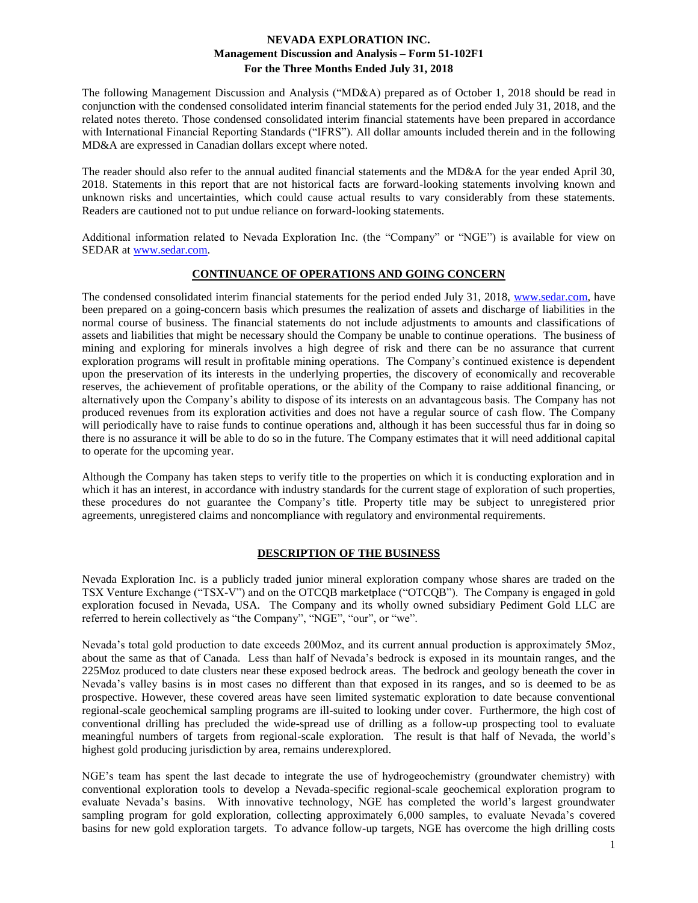The following Management Discussion and Analysis ("MD&A) prepared as of October 1, 2018 should be read in conjunction with the condensed consolidated interim financial statements for the period ended July 31, 2018, and the related notes thereto. Those condensed consolidated interim financial statements have been prepared in accordance with International Financial Reporting Standards ("IFRS"). All dollar amounts included therein and in the following MD&A are expressed in Canadian dollars except where noted.

The reader should also refer to the annual audited financial statements and the MD&A for the year ended April 30, 2018. Statements in this report that are not historical facts are forward-looking statements involving known and unknown risks and uncertainties, which could cause actual results to vary considerably from these statements. Readers are cautioned not to put undue reliance on forward-looking statements.

Additional information related to Nevada Exploration Inc. (the "Company" or "NGE") is available for view on SEDAR at [www.sedar.com.](http://www.sedar.com/)

#### **CONTINUANCE OF OPERATIONS AND GOING CONCERN**

The condensed consolidated interim financial statements for the period ended July 31, 2018, [www.sedar.com,](http://www.sedar.com/) have been prepared on a going-concern basis which presumes the realization of assets and discharge of liabilities in the normal course of business. The financial statements do not include adjustments to amounts and classifications of assets and liabilities that might be necessary should the Company be unable to continue operations. The business of mining and exploring for minerals involves a high degree of risk and there can be no assurance that current exploration programs will result in profitable mining operations. The Company's continued existence is dependent upon the preservation of its interests in the underlying properties, the discovery of economically and recoverable reserves, the achievement of profitable operations, or the ability of the Company to raise additional financing, or alternatively upon the Company's ability to dispose of its interests on an advantageous basis. The Company has not produced revenues from its exploration activities and does not have a regular source of cash flow. The Company will periodically have to raise funds to continue operations and, although it has been successful thus far in doing so there is no assurance it will be able to do so in the future. The Company estimates that it will need additional capital to operate for the upcoming year.

Although the Company has taken steps to verify title to the properties on which it is conducting exploration and in which it has an interest, in accordance with industry standards for the current stage of exploration of such properties, these procedures do not guarantee the Company's title. Property title may be subject to unregistered prior agreements, unregistered claims and noncompliance with regulatory and environmental requirements.

## **DESCRIPTION OF THE BUSINESS**

Nevada Exploration Inc. is a publicly traded junior mineral exploration company whose shares are traded on the TSX Venture Exchange ("TSX-V") and on the OTCQB marketplace ("OTCQB"). The Company is engaged in gold exploration focused in Nevada, USA. The Company and its wholly owned subsidiary Pediment Gold LLC are referred to herein collectively as "the Company", "NGE", "our", or "we".

Nevada's total gold production to date exceeds 200Moz, and its current annual production is approximately 5Moz, about the same as that of Canada. Less than half of Nevada's bedrock is exposed in its mountain ranges, and the 225Moz produced to date clusters near these exposed bedrock areas. The bedrock and geology beneath the cover in Nevada's valley basins is in most cases no different than that exposed in its ranges, and so is deemed to be as prospective. However, these covered areas have seen limited systematic exploration to date because conventional regional-scale geochemical sampling programs are ill-suited to looking under cover. Furthermore, the high cost of conventional drilling has precluded the wide-spread use of drilling as a follow-up prospecting tool to evaluate meaningful numbers of targets from regional-scale exploration. The result is that half of Nevada, the world's highest gold producing jurisdiction by area, remains underexplored.

NGE's team has spent the last decade to integrate the use of hydrogeochemistry (groundwater chemistry) with conventional exploration tools to develop a Nevada-specific regional-scale geochemical exploration program to evaluate Nevada's basins. With innovative technology, NGE has completed the world's largest groundwater sampling program for gold exploration, collecting approximately 6,000 samples, to evaluate Nevada's covered basins for new gold exploration targets. To advance follow-up targets, NGE has overcome the high drilling costs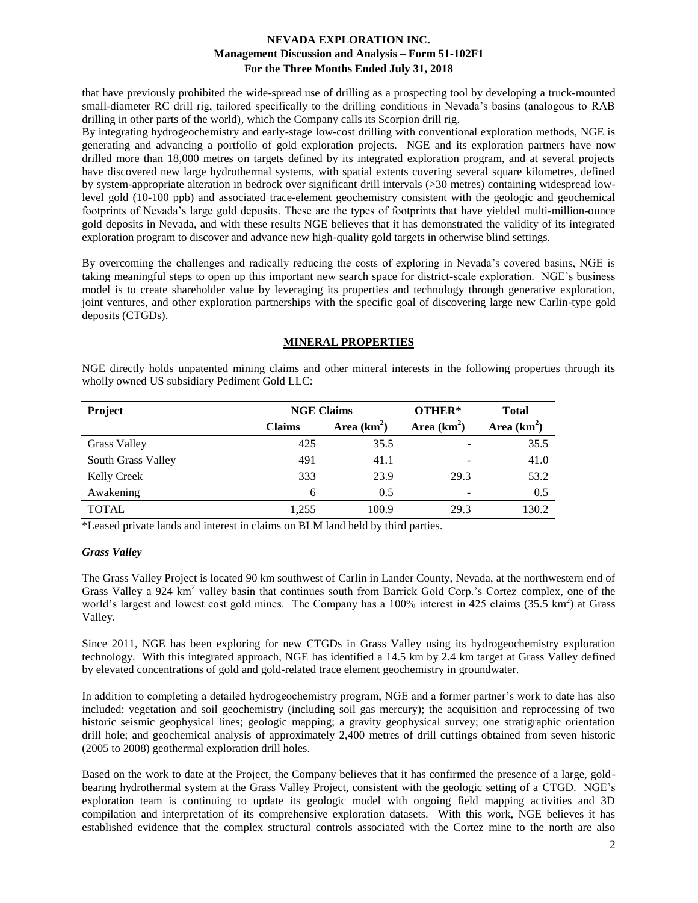that have previously prohibited the wide-spread use of drilling as a prospecting tool by developing a truck-mounted small-diameter RC drill rig, tailored specifically to the drilling conditions in Nevada's basins (analogous to RAB drilling in other parts of the world), which the Company calls its Scorpion drill rig.

By integrating hydrogeochemistry and early-stage low-cost drilling with conventional exploration methods, NGE is generating and advancing a portfolio of gold exploration projects. NGE and its exploration partners have now drilled more than 18,000 metres on targets defined by its integrated exploration program, and at several projects have discovered new large hydrothermal systems, with spatial extents covering several square kilometres, defined by system-appropriate alteration in bedrock over significant drill intervals (>30 metres) containing widespread lowlevel gold (10-100 ppb) and associated trace-element geochemistry consistent with the geologic and geochemical footprints of Nevada's large gold deposits. These are the types of footprints that have yielded multi-million-ounce gold deposits in Nevada, and with these results NGE believes that it has demonstrated the validity of its integrated exploration program to discover and advance new high-quality gold targets in otherwise blind settings.

By overcoming the challenges and radically reducing the costs of exploring in Nevada's covered basins, NGE is taking meaningful steps to open up this important new search space for district-scale exploration. NGE's business model is to create shareholder value by leveraging its properties and technology through generative exploration, joint ventures, and other exploration partnerships with the specific goal of discovering large new Carlin-type gold deposits (CTGDs).

## **MINERAL PROPERTIES**

NGE directly holds unpatented mining claims and other mineral interests in the following properties through its wholly owned US subsidiary Pediment Gold LLC:

| Project             | <b>NGE Claims</b> |               | OTHER*        | <b>Total</b>  |
|---------------------|-------------------|---------------|---------------|---------------|
|                     | <b>Claims</b>     | Area $(km^2)$ | Area $(km^2)$ | Area $(km^2)$ |
| <b>Grass Valley</b> | 425               | 35.5          |               | 35.5          |
| South Grass Valley  | 491               | 41.1          |               | 41.0          |
| <b>Kelly Creek</b>  | 333               | 23.9          | 29.3          | 53.2          |
| Awakening           | 6                 | 0.5           | -             | 0.5           |
| <b>TOTAL</b>        | 1.255             | 100.9         | 29.3          | 130.2         |

\*Leased private lands and interest in claims on BLM land held by third parties.

#### *Grass Valley*

The Grass Valley Project is located 90 km southwest of Carlin in Lander County, Nevada, at the northwestern end of Grass Valley a 924 km<sup>2</sup> valley basin that continues south from Barrick Gold Corp.'s Cortez complex, one of the world's largest and lowest cost gold mines. The Company has a 100% interest in 425 claims (35.5 km<sup>2</sup>) at Grass Valley.

Since 2011, NGE has been exploring for new CTGDs in Grass Valley using its hydrogeochemistry exploration technology. With this integrated approach, NGE has identified a 14.5 km by 2.4 km target at Grass Valley defined by elevated concentrations of gold and gold-related trace element geochemistry in groundwater.

In addition to completing a detailed hydrogeochemistry program, NGE and a former partner's work to date has also included: vegetation and soil geochemistry (including soil gas mercury); the acquisition and reprocessing of two historic seismic geophysical lines; geologic mapping; a gravity geophysical survey; one stratigraphic orientation drill hole; and geochemical analysis of approximately 2,400 metres of drill cuttings obtained from seven historic (2005 to 2008) geothermal exploration drill holes.

Based on the work to date at the Project, the Company believes that it has confirmed the presence of a large, goldbearing hydrothermal system at the Grass Valley Project, consistent with the geologic setting of a CTGD. NGE's exploration team is continuing to update its geologic model with ongoing field mapping activities and 3D compilation and interpretation of its comprehensive exploration datasets. With this work, NGE believes it has established evidence that the complex structural controls associated with the Cortez mine to the north are also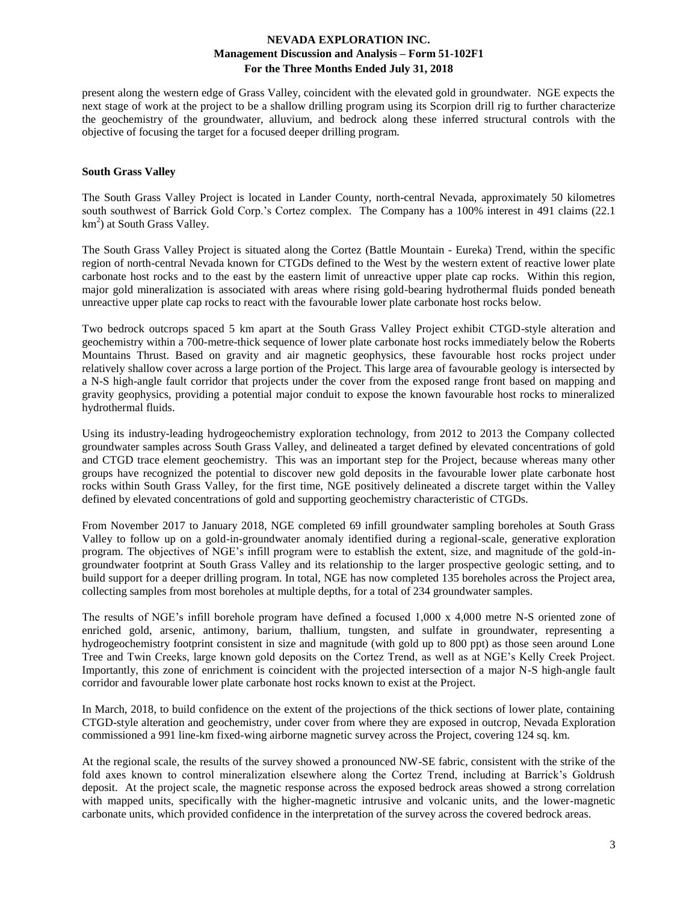present along the western edge of Grass Valley, coincident with the elevated gold in groundwater. NGE expects the next stage of work at the project to be a shallow drilling program using its Scorpion drill rig to further characterize the geochemistry of the groundwater, alluvium, and bedrock along these inferred structural controls with the objective of focusing the target for a focused deeper drilling program.

#### **South Grass Valley**

The South Grass Valley Project is located in Lander County, north-central Nevada, approximately 50 kilometres south southwest of Barrick Gold Corp.'s Cortez complex. The Company has a 100% interest in 491 claims (22.1)  $km<sup>2</sup>$ ) at South Grass Valley.

The South Grass Valley Project is situated along the Cortez (Battle Mountain - Eureka) Trend, within the specific region of north-central Nevada known for CTGDs defined to the West by the western extent of reactive lower plate carbonate host rocks and to the east by the eastern limit of unreactive upper plate cap rocks. Within this region, major gold mineralization is associated with areas where rising gold-bearing hydrothermal fluids ponded beneath unreactive upper plate cap rocks to react with the favourable lower plate carbonate host rocks below.

Two bedrock outcrops spaced 5 km apart at the South Grass Valley Project exhibit CTGD-style alteration and geochemistry within a 700-metre-thick sequence of lower plate carbonate host rocks immediately below the Roberts Mountains Thrust. Based on gravity and air magnetic geophysics, these favourable host rocks project under relatively shallow cover across a large portion of the Project. This large area of favourable geology is intersected by a N-S high-angle fault corridor that projects under the cover from the exposed range front based on mapping and gravity geophysics, providing a potential major conduit to expose the known favourable host rocks to mineralized hydrothermal fluids.

Using its industry-leading hydrogeochemistry exploration technology, from 2012 to 2013 the Company collected groundwater samples across South Grass Valley, and delineated a target defined by elevated concentrations of gold and CTGD trace element geochemistry. This was an important step for the Project, because whereas many other groups have recognized the potential to discover new gold deposits in the favourable lower plate carbonate host rocks within South Grass Valley, for the first time, NGE positively delineated a discrete target within the Valley defined by elevated concentrations of gold and supporting geochemistry characteristic of CTGDs.

From November 2017 to January 2018, NGE completed 69 infill groundwater sampling boreholes at South Grass Valley to follow up on a gold-in-groundwater anomaly identified during a regional-scale, generative exploration program. The objectives of NGE's infill program were to establish the extent, size, and magnitude of the gold-ingroundwater footprint at South Grass Valley and its relationship to the larger prospective geologic setting, and to build support for a deeper drilling program. In total, NGE has now completed 135 boreholes across the Project area, collecting samples from most boreholes at multiple depths, for a total of 234 groundwater samples.

The results of NGE's infill borehole program have defined a focused 1,000 x 4,000 metre N-S oriented zone of enriched gold, arsenic, antimony, barium, thallium, tungsten, and sulfate in groundwater, representing a hydrogeochemistry footprint consistent in size and magnitude (with gold up to 800 ppt) as those seen around Lone Tree and Twin Creeks, large known gold deposits on the Cortez Trend, as well as at NGE's Kelly Creek Project. Importantly, this zone of enrichment is coincident with the projected intersection of a major N-S high-angle fault corridor and favourable lower plate carbonate host rocks known to exist at the Project.

In March, 2018, to build confidence on the extent of the projections of the thick sections of lower plate, containing CTGD-style alteration and geochemistry, under cover from where they are exposed in outcrop, Nevada Exploration commissioned a 991 line-km fixed-wing airborne magnetic survey across the Project, covering 124 sq. km.

At the regional scale, the results of the survey showed a pronounced NW-SE fabric, consistent with the strike of the fold axes known to control mineralization elsewhere along the Cortez Trend, including at Barrick's Goldrush deposit. At the project scale, the magnetic response across the exposed bedrock areas showed a strong correlation with mapped units, specifically with the higher-magnetic intrusive and volcanic units, and the lower-magnetic carbonate units, which provided confidence in the interpretation of the survey across the covered bedrock areas.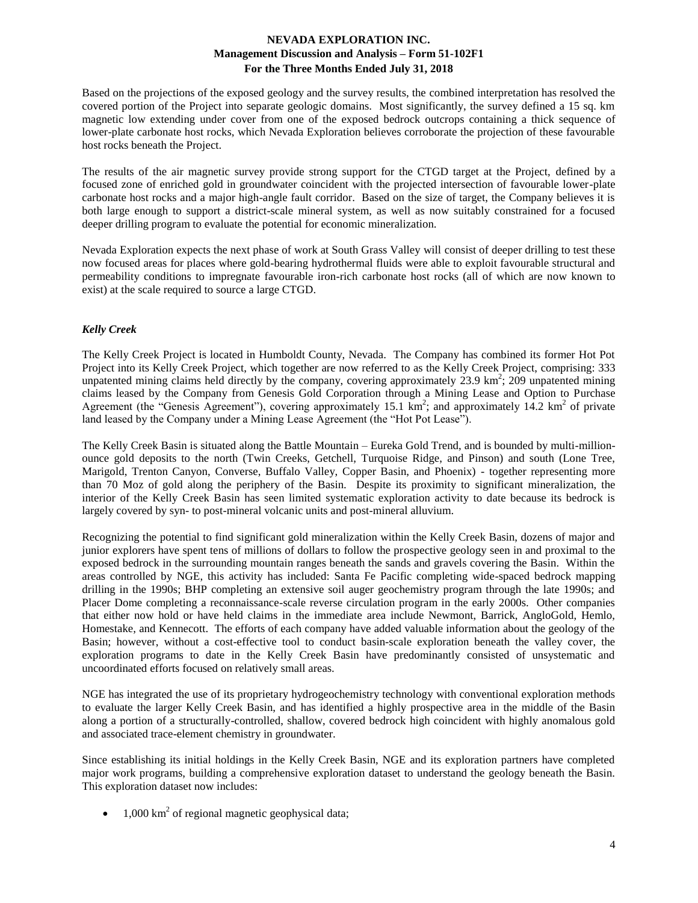Based on the projections of the exposed geology and the survey results, the combined interpretation has resolved the covered portion of the Project into separate geologic domains. Most significantly, the survey defined a 15 sq. km magnetic low extending under cover from one of the exposed bedrock outcrops containing a thick sequence of lower-plate carbonate host rocks, which Nevada Exploration believes corroborate the projection of these favourable host rocks beneath the Project.

The results of the air magnetic survey provide strong support for the CTGD target at the Project, defined by a focused zone of enriched gold in groundwater coincident with the projected intersection of favourable lower-plate carbonate host rocks and a major high-angle fault corridor. Based on the size of target, the Company believes it is both large enough to support a district-scale mineral system, as well as now suitably constrained for a focused deeper drilling program to evaluate the potential for economic mineralization.

Nevada Exploration expects the next phase of work at South Grass Valley will consist of deeper drilling to test these now focused areas for places where gold-bearing hydrothermal fluids were able to exploit favourable structural and permeability conditions to impregnate favourable iron-rich carbonate host rocks (all of which are now known to exist) at the scale required to source a large CTGD.

# *Kelly Creek*

The Kelly Creek Project is located in Humboldt County, Nevada. The Company has combined its former Hot Pot Project into its Kelly Creek Project, which together are now referred to as the Kelly Creek Project, comprising: 333 unpatented mining claims held directly by the company, covering approximately  $23.9 \text{ km}^2$ ;  $209$  unpatented mining claims leased by the Company from Genesis Gold Corporation through a Mining Lease and Option to Purchase Agreement (the "Genesis Agreement"), covering approximately 15.1  $km^2$ ; and approximately 14.2  $km^2$  of private land leased by the Company under a Mining Lease Agreement (the "Hot Pot Lease").

The Kelly Creek Basin is situated along the Battle Mountain – Eureka Gold Trend, and is bounded by multi-millionounce gold deposits to the north (Twin Creeks, Getchell, Turquoise Ridge, and Pinson) and south (Lone Tree, Marigold, Trenton Canyon, Converse, Buffalo Valley, Copper Basin, and Phoenix) - together representing more than 70 Moz of gold along the periphery of the Basin. Despite its proximity to significant mineralization, the interior of the Kelly Creek Basin has seen limited systematic exploration activity to date because its bedrock is largely covered by syn- to post-mineral volcanic units and post-mineral alluvium.

Recognizing the potential to find significant gold mineralization within the Kelly Creek Basin, dozens of major and junior explorers have spent tens of millions of dollars to follow the prospective geology seen in and proximal to the exposed bedrock in the surrounding mountain ranges beneath the sands and gravels covering the Basin. Within the areas controlled by NGE, this activity has included: Santa Fe Pacific completing wide-spaced bedrock mapping drilling in the 1990s; BHP completing an extensive soil auger geochemistry program through the late 1990s; and Placer Dome completing a reconnaissance-scale reverse circulation program in the early 2000s. Other companies that either now hold or have held claims in the immediate area include Newmont, Barrick, AngloGold, Hemlo, Homestake, and Kennecott. The efforts of each company have added valuable information about the geology of the Basin; however, without a cost-effective tool to conduct basin-scale exploration beneath the valley cover, the exploration programs to date in the Kelly Creek Basin have predominantly consisted of unsystematic and uncoordinated efforts focused on relatively small areas.

NGE has integrated the use of its proprietary hydrogeochemistry technology with conventional exploration methods to evaluate the larger Kelly Creek Basin, and has identified a highly prospective area in the middle of the Basin along a portion of a structurally-controlled, shallow, covered bedrock high coincident with highly anomalous gold and associated trace-element chemistry in groundwater.

Since establishing its initial holdings in the Kelly Creek Basin, NGE and its exploration partners have completed major work programs, building a comprehensive exploration dataset to understand the geology beneath the Basin. This exploration dataset now includes:

 $\bullet$  1,000 km<sup>2</sup> of regional magnetic geophysical data;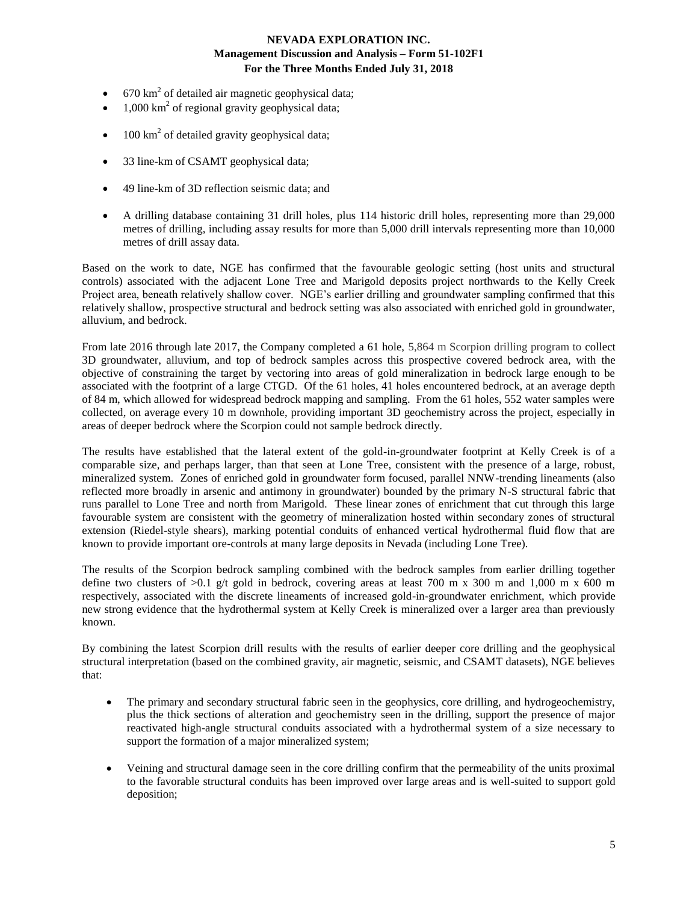- 670 km<sup>2</sup> of detailed air magnetic geophysical data;
- 1,000 km<sup>2</sup> of regional gravity geophysical data;
- $\bullet$  100 km<sup>2</sup> of detailed gravity geophysical data;
- 33 line-km of CSAMT geophysical data;
- 49 line-km of 3D reflection seismic data; and
- A drilling database containing 31 drill holes, plus 114 historic drill holes, representing more than 29,000 metres of drilling, including assay results for more than 5,000 drill intervals representing more than 10,000 metres of drill assay data.

Based on the work to date, NGE has confirmed that the favourable geologic setting (host units and structural controls) associated with the adjacent Lone Tree and Marigold deposits project northwards to the Kelly Creek Project area, beneath relatively shallow cover. NGE's earlier drilling and groundwater sampling confirmed that this relatively shallow, prospective structural and bedrock setting was also associated with enriched gold in groundwater, alluvium, and bedrock.

From late 2016 through late 2017, the Company completed a 61 hole, 5,864 m Scorpion drilling program to collect 3D groundwater, alluvium, and top of bedrock samples across this prospective covered bedrock area, with the objective of constraining the target by vectoring into areas of gold mineralization in bedrock large enough to be associated with the footprint of a large CTGD. Of the 61 holes, 41 holes encountered bedrock, at an average depth of 84 m, which allowed for widespread bedrock mapping and sampling. From the 61 holes, 552 water samples were collected, on average every 10 m downhole, providing important 3D geochemistry across the project, especially in areas of deeper bedrock where the Scorpion could not sample bedrock directly.

The results have established that the lateral extent of the gold-in-groundwater footprint at Kelly Creek is of a comparable size, and perhaps larger, than that seen at Lone Tree, consistent with the presence of a large, robust, mineralized system. Zones of enriched gold in groundwater form focused, parallel NNW-trending lineaments (also reflected more broadly in arsenic and antimony in groundwater) bounded by the primary N-S structural fabric that runs parallel to Lone Tree and north from Marigold. These linear zones of enrichment that cut through this large favourable system are consistent with the geometry of mineralization hosted within secondary zones of structural extension (Riedel-style shears), marking potential conduits of enhanced vertical hydrothermal fluid flow that are known to provide important ore-controls at many large deposits in Nevada (including Lone Tree).

The results of the Scorpion bedrock sampling combined with the bedrock samples from earlier drilling together define two clusters of  $>0.1$  g/t gold in bedrock, covering areas at least 700 m x 300 m and 1,000 m x 600 m respectively, associated with the discrete lineaments of increased gold-in-groundwater enrichment, which provide new strong evidence that the hydrothermal system at Kelly Creek is mineralized over a larger area than previously known.

By combining the latest Scorpion drill results with the results of earlier deeper core drilling and the geophysical structural interpretation (based on the combined gravity, air magnetic, seismic, and CSAMT datasets), NGE believes that:

- The primary and secondary structural fabric seen in the geophysics, core drilling, and hydrogeochemistry, plus the thick sections of alteration and geochemistry seen in the drilling, support the presence of major reactivated high-angle structural conduits associated with a hydrothermal system of a size necessary to support the formation of a major mineralized system;
- Veining and structural damage seen in the core drilling confirm that the permeability of the units proximal to the favorable structural conduits has been improved over large areas and is well-suited to support gold deposition;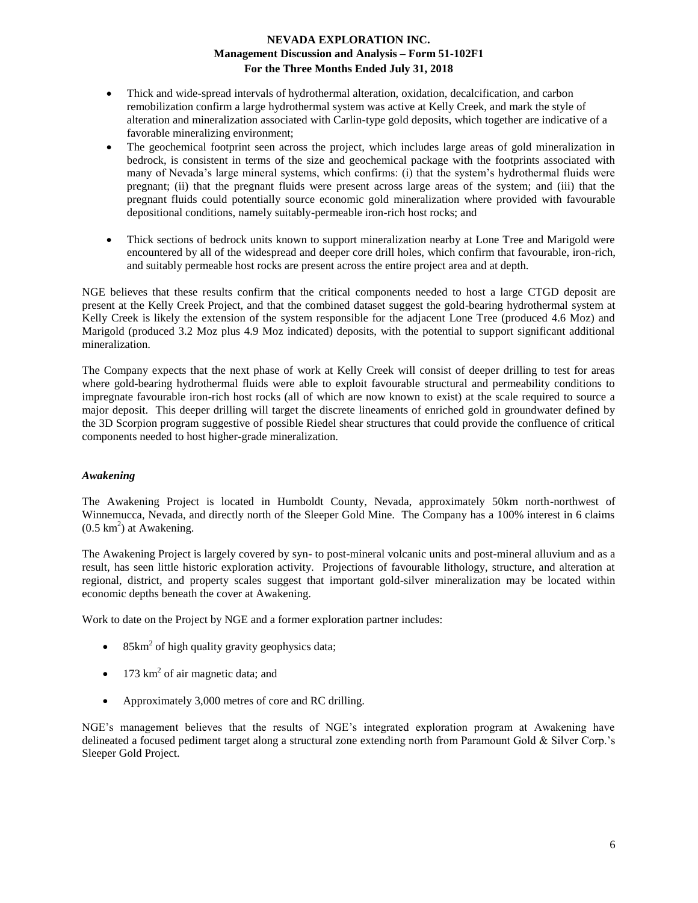- Thick and wide-spread intervals of hydrothermal alteration, oxidation, decalcification, and carbon remobilization confirm a large hydrothermal system was active at Kelly Creek, and mark the style of alteration and mineralization associated with Carlin-type gold deposits, which together are indicative of a favorable mineralizing environment;
- The geochemical footprint seen across the project, which includes large areas of gold mineralization in bedrock, is consistent in terms of the size and geochemical package with the footprints associated with many of Nevada's large mineral systems, which confirms: (i) that the system's hydrothermal fluids were pregnant; (ii) that the pregnant fluids were present across large areas of the system; and (iii) that the pregnant fluids could potentially source economic gold mineralization where provided with favourable depositional conditions, namely suitably-permeable iron-rich host rocks; and
- Thick sections of bedrock units known to support mineralization nearby at Lone Tree and Marigold were encountered by all of the widespread and deeper core drill holes, which confirm that favourable, iron-rich, and suitably permeable host rocks are present across the entire project area and at depth.

NGE believes that these results confirm that the critical components needed to host a large CTGD deposit are present at the Kelly Creek Project, and that the combined dataset suggest the gold-bearing hydrothermal system at Kelly Creek is likely the extension of the system responsible for the adjacent Lone Tree (produced 4.6 Moz) and Marigold (produced 3.2 Moz plus 4.9 Moz indicated) deposits, with the potential to support significant additional mineralization.

The Company expects that the next phase of work at Kelly Creek will consist of deeper drilling to test for areas where gold-bearing hydrothermal fluids were able to exploit favourable structural and permeability conditions to impregnate favourable iron-rich host rocks (all of which are now known to exist) at the scale required to source a major deposit. This deeper drilling will target the discrete lineaments of enriched gold in groundwater defined by the 3D Scorpion program suggestive of possible Riedel shear structures that could provide the confluence of critical components needed to host higher-grade mineralization.

## *Awakening*

The Awakening Project is located in Humboldt County, Nevada, approximately 50km north-northwest of Winnemucca, Nevada, and directly north of the Sleeper Gold Mine. The Company has a 100% interest in 6 claims  $(0.5 \text{ km}^2)$  at Awakening.

The Awakening Project is largely covered by syn- to post-mineral volcanic units and post-mineral alluvium and as a result, has seen little historic exploration activity. Projections of favourable lithology, structure, and alteration at regional, district, and property scales suggest that important gold-silver mineralization may be located within economic depths beneath the cover at Awakening.

Work to date on the Project by NGE and a former exploration partner includes:

- 85km<sup>2</sup> of high quality gravity geophysics data;
- 173 km<sup>2</sup> of air magnetic data; and
- Approximately 3,000 metres of core and RC drilling.

NGE's management believes that the results of NGE's integrated exploration program at Awakening have delineated a focused pediment target along a structural zone extending north from Paramount Gold & Silver Corp.'s Sleeper Gold Project.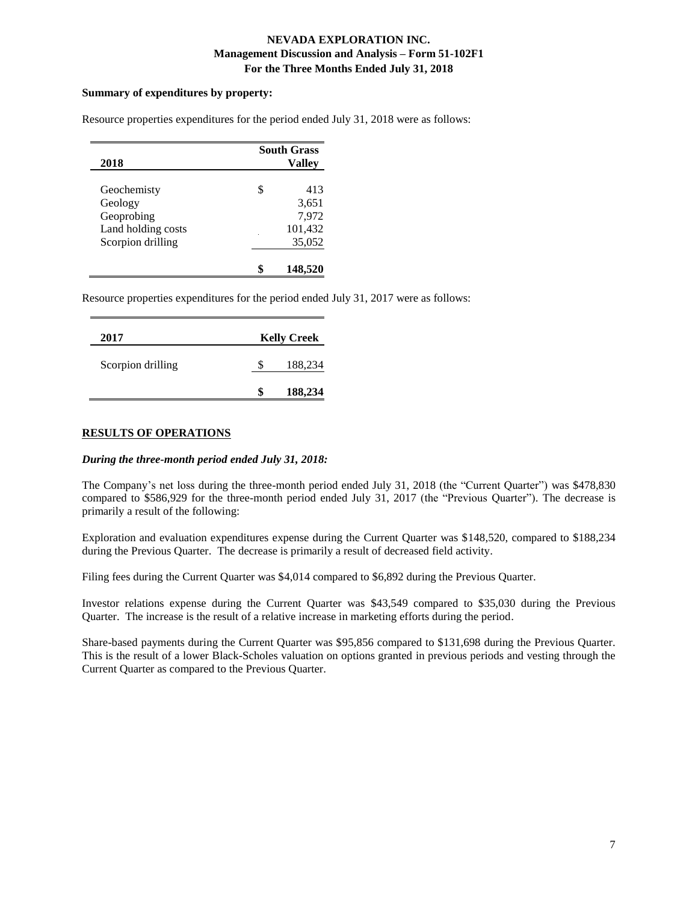#### **Summary of expenditures by property:**

| 2018               | <b>South Grass</b><br>Vallev |         |  |
|--------------------|------------------------------|---------|--|
| Geochemisty        |                              | 413     |  |
| Geology            |                              | 3,651   |  |
| Geoprobing         |                              | 7,972   |  |
| Land holding costs |                              | 101,432 |  |
| Scorpion drilling  |                              | 35,052  |  |
|                    |                              | 148,520 |  |

Resource properties expenditures for the period ended July 31, 2018 were as follows:

Resource properties expenditures for the period ended July 31, 2017 were as follows:

| 2017              |    | <b>Kelly Creek</b> |  |  |
|-------------------|----|--------------------|--|--|
| Scorpion drilling | S  | 188,234            |  |  |
|                   | \$ | 188,234            |  |  |

## **RESULTS OF OPERATIONS**

## *During the three-month period ended July 31, 2018:*

The Company's net loss during the three-month period ended July 31, 2018 (the "Current Quarter") was \$478,830 compared to \$586,929 for the three-month period ended July 31, 2017 (the "Previous Quarter"). The decrease is primarily a result of the following:

Exploration and evaluation expenditures expense during the Current Quarter was \$148,520, compared to \$188,234 during the Previous Quarter. The decrease is primarily a result of decreased field activity.

Filing fees during the Current Quarter was \$4,014 compared to \$6,892 during the Previous Quarter.

Investor relations expense during the Current Quarter was \$43,549 compared to \$35,030 during the Previous Quarter. The increase is the result of a relative increase in marketing efforts during the period.

Share-based payments during the Current Quarter was \$95,856 compared to \$131,698 during the Previous Quarter. This is the result of a lower Black-Scholes valuation on options granted in previous periods and vesting through the Current Quarter as compared to the Previous Quarter.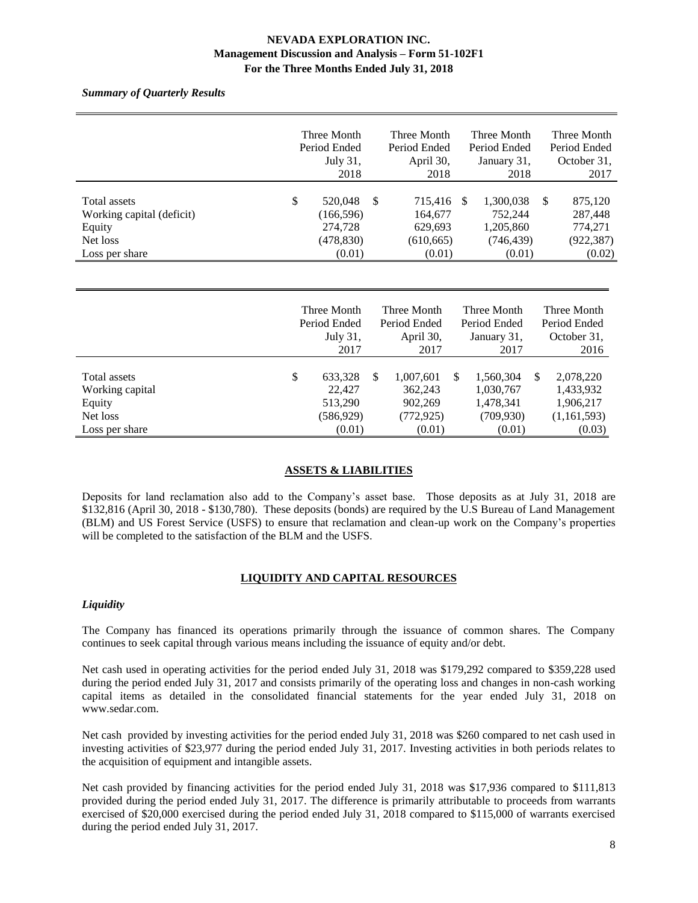*Summary of Quarterly Results*

|                                                                                   | Three Month<br>Period Ended<br>July 31,<br>2018               |               | Three Month<br>Period Ended<br>April 30,<br>2018      |    | Three Month<br>Period Ended<br>January 31,<br>2018        |   | Three Month<br>Period Ended<br>October 31,<br>2017    |
|-----------------------------------------------------------------------------------|---------------------------------------------------------------|---------------|-------------------------------------------------------|----|-----------------------------------------------------------|---|-------------------------------------------------------|
| Total assets<br>Working capital (deficit)<br>Equity<br>Net loss<br>Loss per share | \$<br>520,048<br>(166, 596)<br>274,728<br>(478,830)<br>(0.01) | <sup>\$</sup> | 715,416<br>164,677<br>629,693<br>(610, 665)<br>(0.01) | -S | 1,300,038<br>752,244<br>1,205,860<br>(746, 439)<br>(0.01) | S | 875,120<br>287,448<br>774,271<br>(922, 387)<br>(0.02) |

|                                                       | Three Month<br>Period Ended<br>July 31,<br>2017 | Three Month<br>Period Ended<br>April 30,<br>2017    |   | Three Month<br>Period Ended<br>January 31,<br>2017 |   | Three Month<br>Period Ended<br>October 31,<br>2016 |
|-------------------------------------------------------|-------------------------------------------------|-----------------------------------------------------|---|----------------------------------------------------|---|----------------------------------------------------|
| Total assets<br>Working capital<br>Equity<br>Net loss | \$<br>633,328<br>22,427<br>513,290<br>(586,929) | \$<br>1,007,601<br>362,243<br>902,269<br>(772, 925) | S | 1,560,304<br>1,030,767<br>1,478,341<br>(709, 930)  | S | 2,078,220<br>1,433,932<br>1,906,217<br>(1,161,593) |
| Loss per share                                        | (0.01)                                          | (0.01)                                              |   | (0.01)                                             |   | (0.03)                                             |

## **ASSETS & LIABILITIES**

Deposits for land reclamation also add to the Company's asset base. Those deposits as at July 31, 2018 are \$132,816 (April 30, 2018 - \$130,780). These deposits (bonds) are required by the U.S Bureau of Land Management (BLM) and US Forest Service (USFS) to ensure that reclamation and clean-up work on the Company's properties will be completed to the satisfaction of the BLM and the USFS.

## **LIQUIDITY AND CAPITAL RESOURCES**

#### *Liquidity*

The Company has financed its operations primarily through the issuance of common shares. The Company continues to seek capital through various means including the issuance of equity and/or debt.

Net cash used in operating activities for the period ended July 31, 2018 was \$179,292 compared to \$359,228 used during the period ended July 31, 2017 and consists primarily of the operating loss and changes in non-cash working capital items as detailed in the consolidated financial statements for the year ended July 31, 2018 on www.sedar.com.

Net cash provided by investing activities for the period ended July 31, 2018 was \$260 compared to net cash used in investing activities of \$23,977 during the period ended July 31, 2017. Investing activities in both periods relates to the acquisition of equipment and intangible assets.

Net cash provided by financing activities for the period ended July 31, 2018 was \$17,936 compared to \$111,813 provided during the period ended July 31, 2017. The difference is primarily attributable to proceeds from warrants exercised of \$20,000 exercised during the period ended July 31, 2018 compared to \$115,000 of warrants exercised during the period ended July 31, 2017.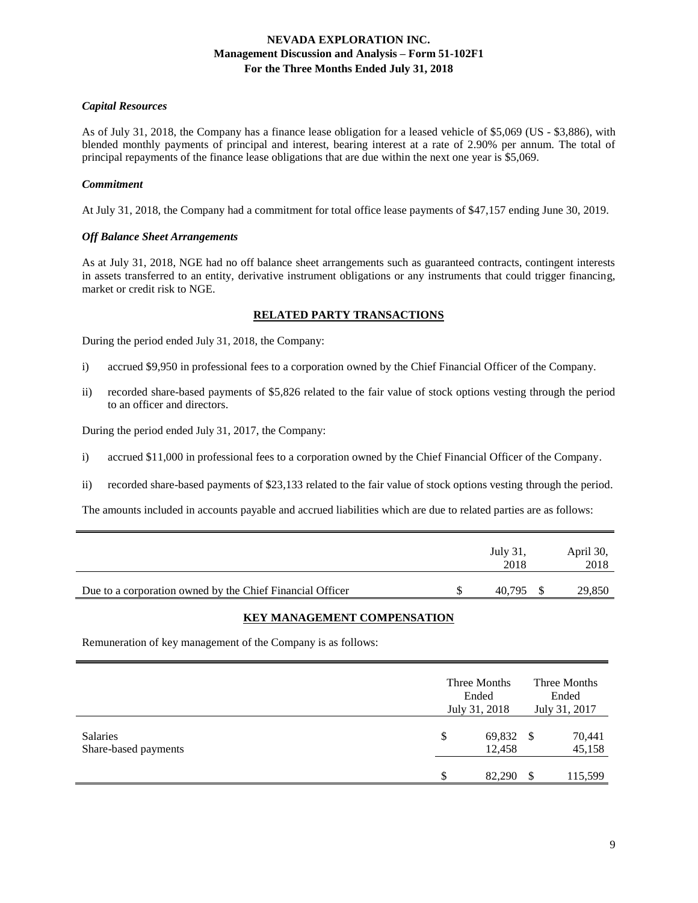## *Capital Resources*

As of July 31, 2018, the Company has a finance lease obligation for a leased vehicle of \$5,069 (US - \$3,886), with blended monthly payments of principal and interest, bearing interest at a rate of 2.90% per annum. The total of principal repayments of the finance lease obligations that are due within the next one year is \$5,069.

## *Commitment*

At July 31, 2018, the Company had a commitment for total office lease payments of \$47,157 ending June 30, 2019.

## *Off Balance Sheet Arrangements*

As at July 31, 2018, NGE had no off balance sheet arrangements such as guaranteed contracts, contingent interests in assets transferred to an entity, derivative instrument obligations or any instruments that could trigger financing, market or credit risk to NGE.

## **RELATED PARTY TRANSACTIONS**

During the period ended July 31, 2018, the Company:

- i) accrued \$9,950 in professional fees to a corporation owned by the Chief Financial Officer of the Company.
- ii) recorded share-based payments of \$5,826 related to the fair value of stock options vesting through the period to an officer and directors.

During the period ended July 31, 2017, the Company:

- i) accrued \$11,000 in professional fees to a corporation owned by the Chief Financial Officer of the Company.
- ii) recorded share-based payments of \$23,133 related to the fair value of stock options vesting through the period.

The amounts included in accounts payable and accrued liabilities which are due to related parties are as follows:

|                                                           | <b>July 31.</b><br>2018 | April 30,<br>2018 |
|-----------------------------------------------------------|-------------------------|-------------------|
| Due to a corporation owned by the Chief Financial Officer | 40.795                  | 29,850            |

# **KEY MANAGEMENT COMPENSATION**

Remuneration of key management of the Company is as follows:

|                                  | Three Months<br>Ended<br>July 31, 2018 | Three Months<br>Ended<br>July 31, 2017 |                  |  |
|----------------------------------|----------------------------------------|----------------------------------------|------------------|--|
| Salaries<br>Share-based payments | \$<br>69,832<br>12,458                 | - \$                                   | 70,441<br>45,158 |  |
|                                  | \$<br>82,290                           | \$                                     | 115,599          |  |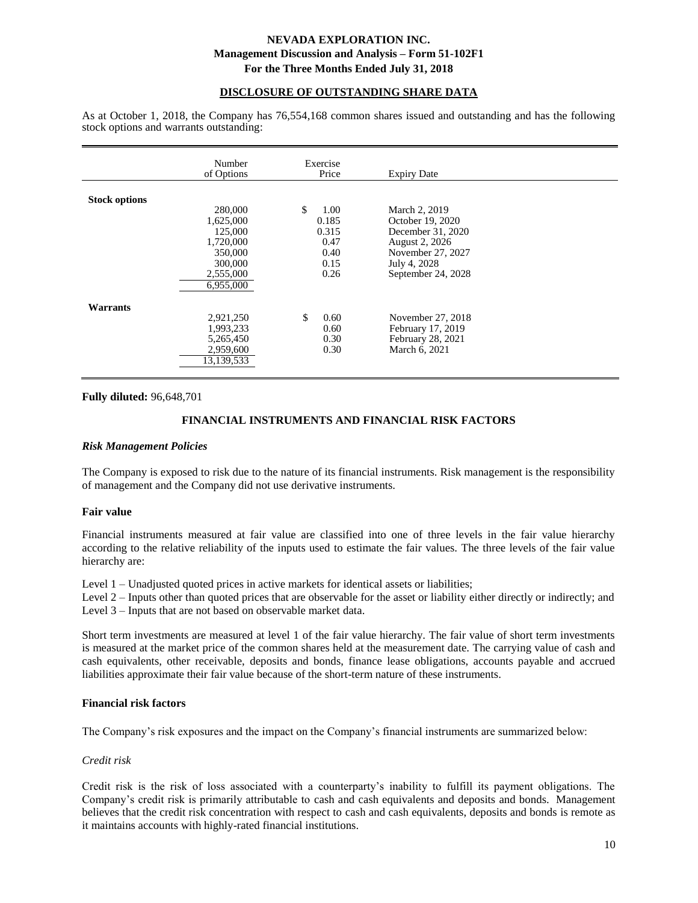#### **DISCLOSURE OF OUTSTANDING SHARE DATA**

As at October 1, 2018, the Company has 76,554,168 common shares issued and outstanding and has the following stock options and warrants outstanding:

|                      | Number<br>of Options                                                                         | Exercise<br>Price                                             | <b>Expiry Date</b>                                                                                                                  |  |
|----------------------|----------------------------------------------------------------------------------------------|---------------------------------------------------------------|-------------------------------------------------------------------------------------------------------------------------------------|--|
| <b>Stock options</b> | 280,000<br>1,625,000<br>125,000<br>1,720,000<br>350,000<br>300,000<br>2,555,000<br>6,955,000 | \$.<br>1.00<br>0.185<br>0.315<br>0.47<br>0.40<br>0.15<br>0.26 | March 2, 2019<br>October 19, 2020<br>December 31, 2020<br>August 2, 2026<br>November 27, 2027<br>July 4, 2028<br>September 24, 2028 |  |
| Warrants             | 2,921,250<br>1,993,233<br>5,265,450<br>2,959,600<br>13,139,533                               | \$<br>0.60<br>0.60<br>0.30<br>0.30                            | November 27, 2018<br>February 17, 2019<br>February 28, 2021<br>March 6, 2021                                                        |  |

**Fully diluted:** 96,648,701

## **FINANCIAL INSTRUMENTS AND FINANCIAL RISK FACTORS**

#### *Risk Management Policies*

The Company is exposed to risk due to the nature of its financial instruments. Risk management is the responsibility of management and the Company did not use derivative instruments.

#### **Fair value**

Financial instruments measured at fair value are classified into one of three levels in the fair value hierarchy according to the relative reliability of the inputs used to estimate the fair values. The three levels of the fair value hierarchy are:

Level 1 – Unadjusted quoted prices in active markets for identical assets or liabilities;

Level 2 – Inputs other than quoted prices that are observable for the asset or liability either directly or indirectly; and Level 3 – Inputs that are not based on observable market data.

Short term investments are measured at level 1 of the fair value hierarchy. The fair value of short term investments is measured at the market price of the common shares held at the measurement date. The carrying value of cash and cash equivalents, other receivable, deposits and bonds, finance lease obligations, accounts payable and accrued liabilities approximate their fair value because of the short-term nature of these instruments.

#### **Financial risk factors**

The Company's risk exposures and the impact on the Company's financial instruments are summarized below:

#### *Credit risk*

Credit risk is the risk of loss associated with a counterparty's inability to fulfill its payment obligations. The Company's credit risk is primarily attributable to cash and cash equivalents and deposits and bonds. Management believes that the credit risk concentration with respect to cash and cash equivalents, deposits and bonds is remote as it maintains accounts with highly-rated financial institutions.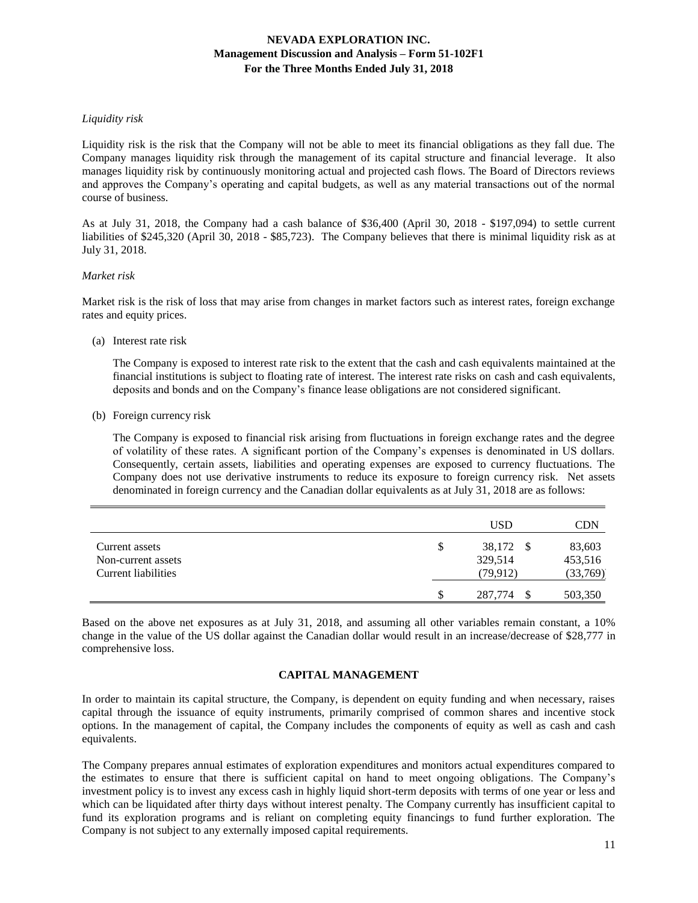#### *Liquidity risk*

Liquidity risk is the risk that the Company will not be able to meet its financial obligations as they fall due. The Company manages liquidity risk through the management of its capital structure and financial leverage. It also manages liquidity risk by continuously monitoring actual and projected cash flows. The Board of Directors reviews and approves the Company's operating and capital budgets, as well as any material transactions out of the normal course of business.

As at July 31, 2018, the Company had a cash balance of \$36,400 (April 30, 2018 - \$197,094) to settle current liabilities of \$245,320 (April 30, 2018 - \$85,723). The Company believes that there is minimal liquidity risk as at July 31, 2018.

#### *Market risk*

Market risk is the risk of loss that may arise from changes in market factors such as interest rates, foreign exchange rates and equity prices.

(a) Interest rate risk

The Company is exposed to interest rate risk to the extent that the cash and cash equivalents maintained at the financial institutions is subject to floating rate of interest. The interest rate risks on cash and cash equivalents, deposits and bonds and on the Company's finance lease obligations are not considered significant.

(b) Foreign currency risk

The Company is exposed to financial risk arising from fluctuations in foreign exchange rates and the degree of volatility of these rates. A significant portion of the Company's expenses is denominated in US dollars. Consequently, certain assets, liabilities and operating expenses are exposed to currency fluctuations. The Company does not use derivative instruments to reduce its exposure to foreign currency risk. Net assets denominated in foreign currency and the Canadian dollar equivalents as at July 31, 2018 are as follows:

|                                                             |    | <b>USD</b>                             | CDN                           |
|-------------------------------------------------------------|----|----------------------------------------|-------------------------------|
| Current assets<br>Non-current assets<br>Current liabilities | S  | 38,172<br>- \$<br>329,514<br>(79, 912) | 83,603<br>453,516<br>(33,769) |
|                                                             | \$ | 287,774<br>\$.                         | 503,350                       |

Based on the above net exposures as at July 31, 2018, and assuming all other variables remain constant, a 10% change in the value of the US dollar against the Canadian dollar would result in an increase/decrease of \$28,777 in comprehensive loss.

## **CAPITAL MANAGEMENT**

In order to maintain its capital structure, the Company, is dependent on equity funding and when necessary, raises capital through the issuance of equity instruments, primarily comprised of common shares and incentive stock options. In the management of capital, the Company includes the components of equity as well as cash and cash equivalents.

The Company prepares annual estimates of exploration expenditures and monitors actual expenditures compared to the estimates to ensure that there is sufficient capital on hand to meet ongoing obligations. The Company's investment policy is to invest any excess cash in highly liquid short-term deposits with terms of one year or less and which can be liquidated after thirty days without interest penalty. The Company currently has insufficient capital to fund its exploration programs and is reliant on completing equity financings to fund further exploration. The Company is not subject to any externally imposed capital requirements.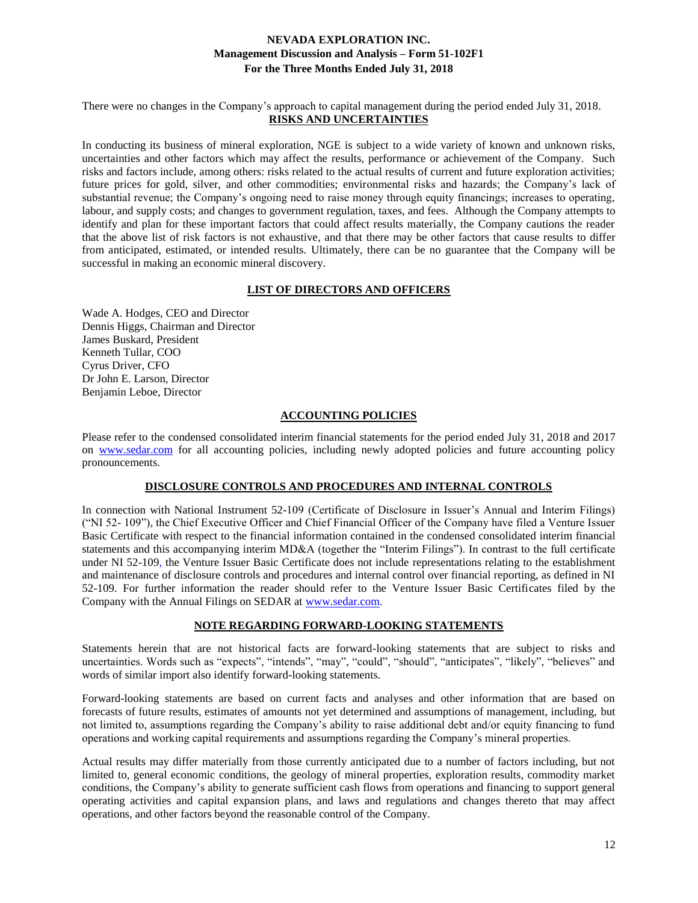There were no changes in the Company's approach to capital management during the period ended July 31, 2018. **RISKS AND UNCERTAINTIES**

In conducting its business of mineral exploration, NGE is subject to a wide variety of known and unknown risks, uncertainties and other factors which may affect the results, performance or achievement of the Company. Such risks and factors include, among others: risks related to the actual results of current and future exploration activities; future prices for gold, silver, and other commodities; environmental risks and hazards; the Company's lack of substantial revenue; the Company's ongoing need to raise money through equity financings; increases to operating, labour, and supply costs; and changes to government regulation, taxes, and fees. Although the Company attempts to identify and plan for these important factors that could affect results materially, the Company cautions the reader that the above list of risk factors is not exhaustive, and that there may be other factors that cause results to differ from anticipated, estimated, or intended results. Ultimately, there can be no guarantee that the Company will be successful in making an economic mineral discovery.

## **LIST OF DIRECTORS AND OFFICERS**

Wade A. Hodges, CEO and Director Dennis Higgs, Chairman and Director James Buskard, President Kenneth Tullar, COO Cyrus Driver, CFO Dr John E. Larson, Director Benjamin Leboe, Director

## **ACCOUNTING POLICIES**

Please refer to the condensed consolidated interim financial statements for the period ended July 31, 2018 and 2017 on [www.sedar.com](http://www.sedar.com/) for all accounting policies, including newly adopted policies and future accounting policy pronouncements.

## **DISCLOSURE CONTROLS AND PROCEDURES AND INTERNAL CONTROLS**

In connection with National Instrument 52-109 (Certificate of Disclosure in Issuer's Annual and Interim Filings) ("NI 52- 109"), the Chief Executive Officer and Chief Financial Officer of the Company have filed a Venture Issuer Basic Certificate with respect to the financial information contained in the condensed consolidated interim financial statements and this accompanying interim MD&A (together the "Interim Filings"). In contrast to the full certificate under NI 52-109, the Venture Issuer Basic Certificate does not include representations relating to the establishment and maintenance of disclosure controls and procedures and internal control over financial reporting, as defined in NI 52-109. For further information the reader should refer to the Venture Issuer Basic Certificates filed by the Company with the Annual Filings on SEDAR at [www.sedar.com.](http://www.sedar.com/)

#### **NOTE REGARDING FORWARD-LOOKING STATEMENTS**

Statements herein that are not historical facts are forward-looking statements that are subject to risks and uncertainties. Words such as "expects", "intends", "may", "could", "should", "anticipates", "likely", "believes" and words of similar import also identify forward-looking statements.

Forward-looking statements are based on current facts and analyses and other information that are based on forecasts of future results, estimates of amounts not yet determined and assumptions of management, including, but not limited to, assumptions regarding the Company's ability to raise additional debt and/or equity financing to fund operations and working capital requirements and assumptions regarding the Company's mineral properties.

Actual results may differ materially from those currently anticipated due to a number of factors including, but not limited to, general economic conditions, the geology of mineral properties, exploration results, commodity market conditions, the Company's ability to generate sufficient cash flows from operations and financing to support general operating activities and capital expansion plans, and laws and regulations and changes thereto that may affect operations, and other factors beyond the reasonable control of the Company.